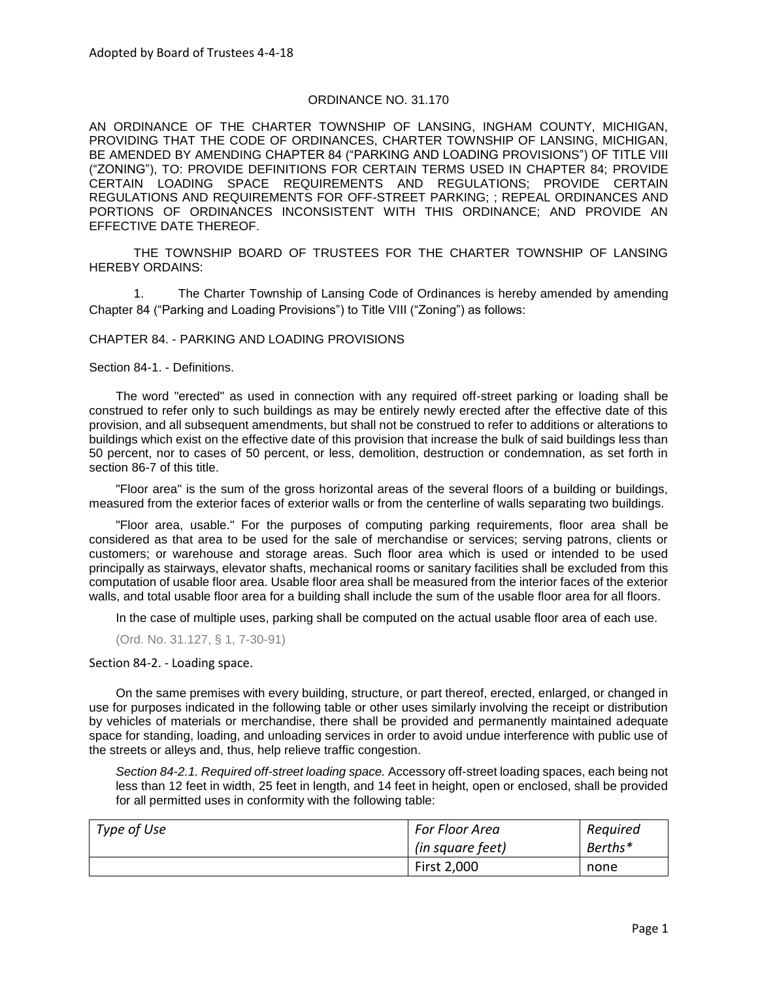## ORDINANCE NO. 31.170

AN ORDINANCE OF THE CHARTER TOWNSHIP OF LANSING, INGHAM COUNTY, MICHIGAN, PROVIDING THAT THE CODE OF ORDINANCES, CHARTER TOWNSHIP OF LANSING, MICHIGAN, BE AMENDED BY AMENDING CHAPTER 84 ("PARKING AND LOADING PROVISIONS") OF TITLE VIII ("ZONING"), TO: PROVIDE DEFINITIONS FOR CERTAIN TERMS USED IN CHAPTER 84; PROVIDE CERTAIN LOADING SPACE REQUIREMENTS AND REGULATIONS; PROVIDE CERTAIN REGULATIONS AND REQUIREMENTS FOR OFF-STREET PARKING; ; REPEAL ORDINANCES AND PORTIONS OF ORDINANCES INCONSISTENT WITH THIS ORDINANCE; AND PROVIDE AN EFFECTIVE DATE THEREOF.

THE TOWNSHIP BOARD OF TRUSTEES FOR THE CHARTER TOWNSHIP OF LANSING HEREBY ORDAINS:

1. The Charter Township of Lansing Code of Ordinances is hereby amended by amending Chapter 84 ("Parking and Loading Provisions") to Title VIII ("Zoning") as follows:

## CHAPTER 84. - PARKING AND LOADING PROVISIONS

Section 84-1. - Definitions.

The word "erected" as used in connection with any required off-street parking or loading shall be construed to refer only to such buildings as may be entirely newly erected after the effective date of this provision, and all subsequent amendments, but shall not be construed to refer to additions or alterations to buildings which exist on the effective date of this provision that increase the bulk of said buildings less than 50 percent, nor to cases of 50 percent, or less, demolition, destruction or condemnation, as set forth in section 86-7 of this title.

"Floor area" is the sum of the gross horizontal areas of the several floors of a building or buildings, measured from the exterior faces of exterior walls or from the centerline of walls separating two buildings.

"Floor area, usable." For the purposes of computing parking requirements, floor area shall be considered as that area to be used for the sale of merchandise or services; serving patrons, clients or customers; or warehouse and storage areas. Such floor area which is used or intended to be used principally as stairways, elevator shafts, mechanical rooms or sanitary facilities shall be excluded from this computation of usable floor area. Usable floor area shall be measured from the interior faces of the exterior walls, and total usable floor area for a building shall include the sum of the usable floor area for all floors.

In the case of multiple uses, parking shall be computed on the actual usable floor area of each use.

(Ord. No. 31.127, § 1, 7-30-91)

Section 84-2. - Loading space.

On the same premises with every building, structure, or part thereof, erected, enlarged, or changed in use for purposes indicated in the following table or other uses similarly involving the receipt or distribution by vehicles of materials or merchandise, there shall be provided and permanently maintained adequate space for standing, loading, and unloading services in order to avoid undue interference with public use of the streets or alleys and, thus, help relieve traffic congestion.

*Section 84-2.1. Required off-street loading space.* Accessory off-street loading spaces, each being not less than 12 feet in width, 25 feet in length, and 14 feet in height, open or enclosed, shall be provided for all permitted uses in conformity with the following table:

| Type of Use | <b>For Floor Area</b> | Required |
|-------------|-----------------------|----------|
|             | (in square feet)      | Berths*  |
|             | First 2,000           | none     |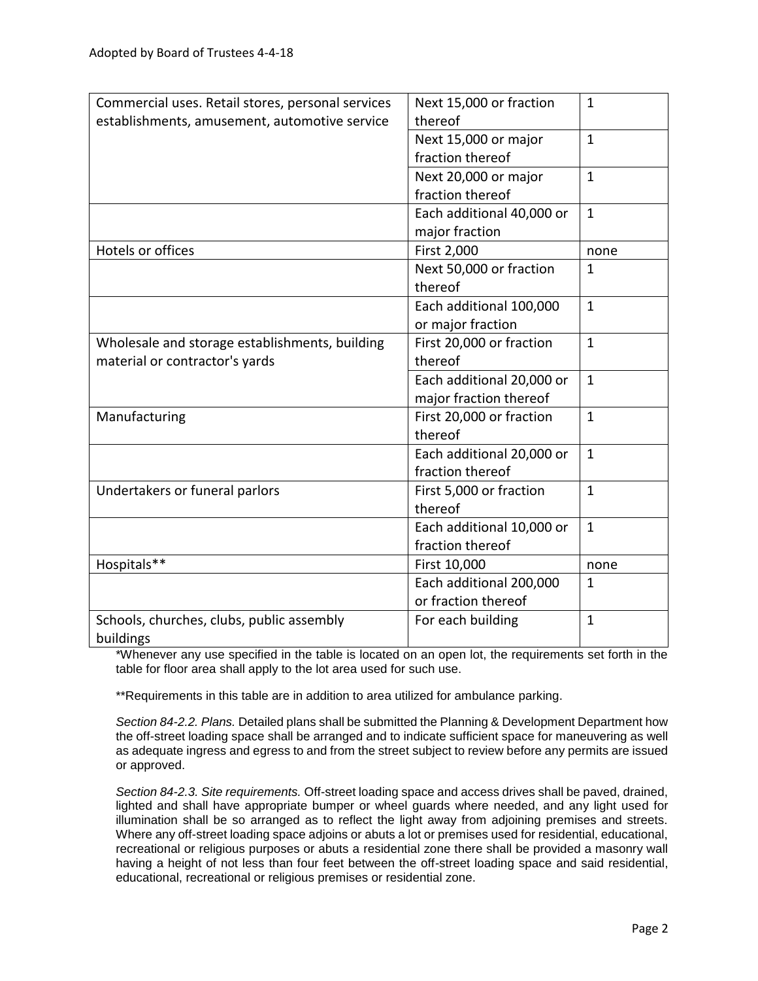| Commercial uses. Retail stores, personal services | Next 15,000 or fraction   | $\mathbf{1}$ |
|---------------------------------------------------|---------------------------|--------------|
| establishments, amusement, automotive service     | thereof                   |              |
|                                                   | Next 15,000 or major      | $\mathbf{1}$ |
|                                                   | fraction thereof          |              |
|                                                   | Next 20,000 or major      | $\mathbf{1}$ |
|                                                   | fraction thereof          |              |
|                                                   | Each additional 40,000 or | $\mathbf{1}$ |
|                                                   | major fraction            |              |
| Hotels or offices                                 | First 2,000               | none         |
|                                                   | Next 50,000 or fraction   | $\mathbf{1}$ |
|                                                   | thereof                   |              |
|                                                   | Each additional 100,000   | $\mathbf{1}$ |
|                                                   | or major fraction         |              |
| Wholesale and storage establishments, building    | First 20,000 or fraction  | $\mathbf{1}$ |
| material or contractor's yards                    | thereof                   |              |
|                                                   | Each additional 20,000 or | $\mathbf{1}$ |
|                                                   | major fraction thereof    |              |
| Manufacturing                                     | First 20,000 or fraction  | $\mathbf{1}$ |
|                                                   | thereof                   |              |
|                                                   | Each additional 20,000 or | $\mathbf{1}$ |
|                                                   | fraction thereof          |              |
| Undertakers or funeral parlors                    | First 5,000 or fraction   | $\mathbf{1}$ |
|                                                   | thereof                   |              |
|                                                   | Each additional 10,000 or | $\mathbf{1}$ |
|                                                   | fraction thereof          |              |
| Hospitals**                                       | First 10,000              | none         |
|                                                   | Each additional 200,000   | $\mathbf{1}$ |
|                                                   | or fraction thereof       |              |
| Schools, churches, clubs, public assembly         | For each building         | $\mathbf{1}$ |
| buildings                                         |                           |              |

\*Whenever any use specified in the table is located on an open lot, the requirements set forth in the table for floor area shall apply to the lot area used for such use.

\*\*Requirements in this table are in addition to area utilized for ambulance parking.

*Section 84-2.2. Plans.* Detailed plans shall be submitted the Planning & Development Department how the off-street loading space shall be arranged and to indicate sufficient space for maneuvering as well as adequate ingress and egress to and from the street subject to review before any permits are issued or approved.

*Section 84-2.3. Site requirements.* Off-street loading space and access drives shall be paved, drained, lighted and shall have appropriate bumper or wheel guards where needed, and any light used for illumination shall be so arranged as to reflect the light away from adjoining premises and streets. Where any off-street loading space adjoins or abuts a lot or premises used for residential, educational, recreational or religious purposes or abuts a residential zone there shall be provided a masonry wall having a height of not less than four feet between the off-street loading space and said residential, educational, recreational or religious premises or residential zone.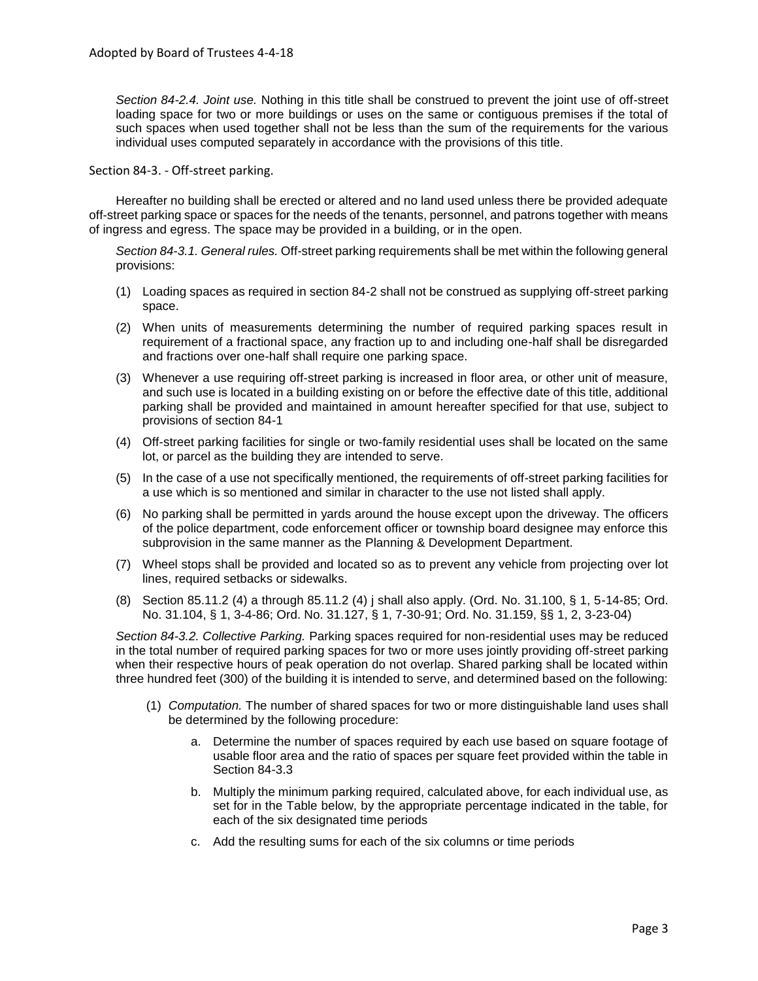*Section 84-2.4. Joint use.* Nothing in this title shall be construed to prevent the joint use of off-street loading space for two or more buildings or uses on the same or contiguous premises if the total of such spaces when used together shall not be less than the sum of the requirements for the various individual uses computed separately in accordance with the provisions of this title.

Section 84-3. - Off-street parking.

Hereafter no building shall be erected or altered and no land used unless there be provided adequate off-street parking space or spaces for the needs of the tenants, personnel, and patrons together with means of ingress and egress. The space may be provided in a building, or in the open.

*Section 84-3.1. General rules.* Off-street parking requirements shall be met within the following general provisions:

- (1) Loading spaces as required in section 84-2 shall not be construed as supplying off-street parking space.
- (2) When units of measurements determining the number of required parking spaces result in requirement of a fractional space, any fraction up to and including one-half shall be disregarded and fractions over one-half shall require one parking space.
- (3) Whenever a use requiring off-street parking is increased in floor area, or other unit of measure, and such use is located in a building existing on or before the effective date of this title, additional parking shall be provided and maintained in amount hereafter specified for that use, subject to provisions of section 84-1
- (4) Off-street parking facilities for single or two-family residential uses shall be located on the same lot, or parcel as the building they are intended to serve.
- (5) In the case of a use not specifically mentioned, the requirements of off-street parking facilities for a use which is so mentioned and similar in character to the use not listed shall apply.
- (6) No parking shall be permitted in yards around the house except upon the driveway. The officers of the police department, code enforcement officer or township board designee may enforce this subprovision in the same manner as the Planning & Development Department.
- (7) Wheel stops shall be provided and located so as to prevent any vehicle from projecting over lot lines, required setbacks or sidewalks.
- (8) Section 85.11.2 (4) a through 85.11.2 (4) j shall also apply. (Ord. No. 31.100, § 1, 5-14-85; Ord. No. 31.104, § 1, 3-4-86; Ord. No. 31.127, § 1, 7-30-91; Ord. No. 31.159, §§ 1, 2, 3-23-04)

*Section 84-3.2. Collective Parking.* Parking spaces required for non-residential uses may be reduced in the total number of required parking spaces for two or more uses jointly providing off-street parking when their respective hours of peak operation do not overlap. Shared parking shall be located within three hundred feet (300) of the building it is intended to serve, and determined based on the following:

- (1) *Computation.* The number of shared spaces for two or more distinguishable land uses shall be determined by the following procedure:
	- a. Determine the number of spaces required by each use based on square footage of usable floor area and the ratio of spaces per square feet provided within the table in Section 84-3.3
	- b. Multiply the minimum parking required, calculated above, for each individual use, as set for in the Table below, by the appropriate percentage indicated in the table, for each of the six designated time periods
	- c. Add the resulting sums for each of the six columns or time periods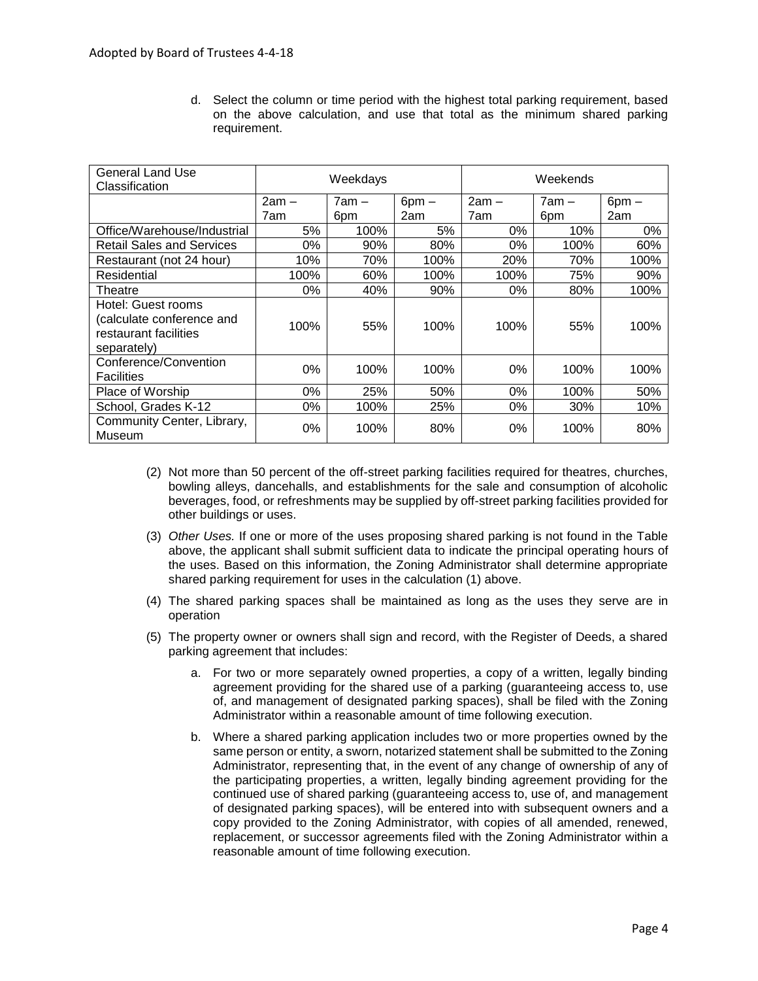d. Select the column or time period with the highest total parking requirement, based on the above calculation, and use that total as the minimum shared parking requirement.

| <b>General Land Use</b><br>Classification                                               | Weekdays |         | Weekends   |         |         |            |
|-----------------------------------------------------------------------------------------|----------|---------|------------|---------|---------|------------|
|                                                                                         | $2am -$  | $7am -$ | $6$ pm $-$ | $2am -$ | $7am -$ | $6$ pm $-$ |
|                                                                                         | 7am      | 6pm     | 2am        | 7am     | 6pm     | 2am        |
| Office/Warehouse/Industrial                                                             | 5%       | 100%    | 5%         | 0%      | 10%     | 0%         |
| <b>Retail Sales and Services</b>                                                        | 0%       | 90%     | 80%        | 0%      | 100%    | 60%        |
| Restaurant (not 24 hour)                                                                | 10%      | 70%     | 100%       | 20%     | 70%     | 100%       |
| Residential                                                                             | 100%     | 60%     | 100%       | 100%    | 75%     | 90%        |
| Theatre                                                                                 | 0%       | 40%     | 90%        | 0%      | 80%     | 100%       |
| Hotel: Guest rooms<br>(calculate conference and<br>restaurant facilities<br>separately) | 100%     | 55%     | 100%       | 100%    | 55%     | 100%       |
| Conference/Convention<br><b>Facilities</b>                                              | 0%       | 100%    | 100%       | $0\%$   | 100%    | 100%       |
| Place of Worship                                                                        | 0%       | 25%     | 50%        | 0%      | 100%    | 50%        |
| School, Grades K-12                                                                     | 0%       | 100%    | 25%        | 0%      | 30%     | 10%        |
| Community Center, Library,<br>Museum                                                    | 0%       | 100%    | 80%        | 0%      | 100%    | 80%        |

- (2) Not more than 50 percent of the off-street parking facilities required for theatres, churches, bowling alleys, dancehalls, and establishments for the sale and consumption of alcoholic beverages, food, or refreshments may be supplied by off-street parking facilities provided for other buildings or uses.
- (3) *Other Uses.* If one or more of the uses proposing shared parking is not found in the Table above, the applicant shall submit sufficient data to indicate the principal operating hours of the uses. Based on this information, the Zoning Administrator shall determine appropriate shared parking requirement for uses in the calculation (1) above.
- (4) The shared parking spaces shall be maintained as long as the uses they serve are in operation
- (5) The property owner or owners shall sign and record, with the Register of Deeds, a shared parking agreement that includes:
	- a. For two or more separately owned properties, a copy of a written, legally binding agreement providing for the shared use of a parking (guaranteeing access to, use of, and management of designated parking spaces), shall be filed with the Zoning Administrator within a reasonable amount of time following execution.
	- b. Where a shared parking application includes two or more properties owned by the same person or entity, a sworn, notarized statement shall be submitted to the Zoning Administrator, representing that, in the event of any change of ownership of any of the participating properties, a written, legally binding agreement providing for the continued use of shared parking (guaranteeing access to, use of, and management of designated parking spaces), will be entered into with subsequent owners and a copy provided to the Zoning Administrator, with copies of all amended, renewed, replacement, or successor agreements filed with the Zoning Administrator within a reasonable amount of time following execution.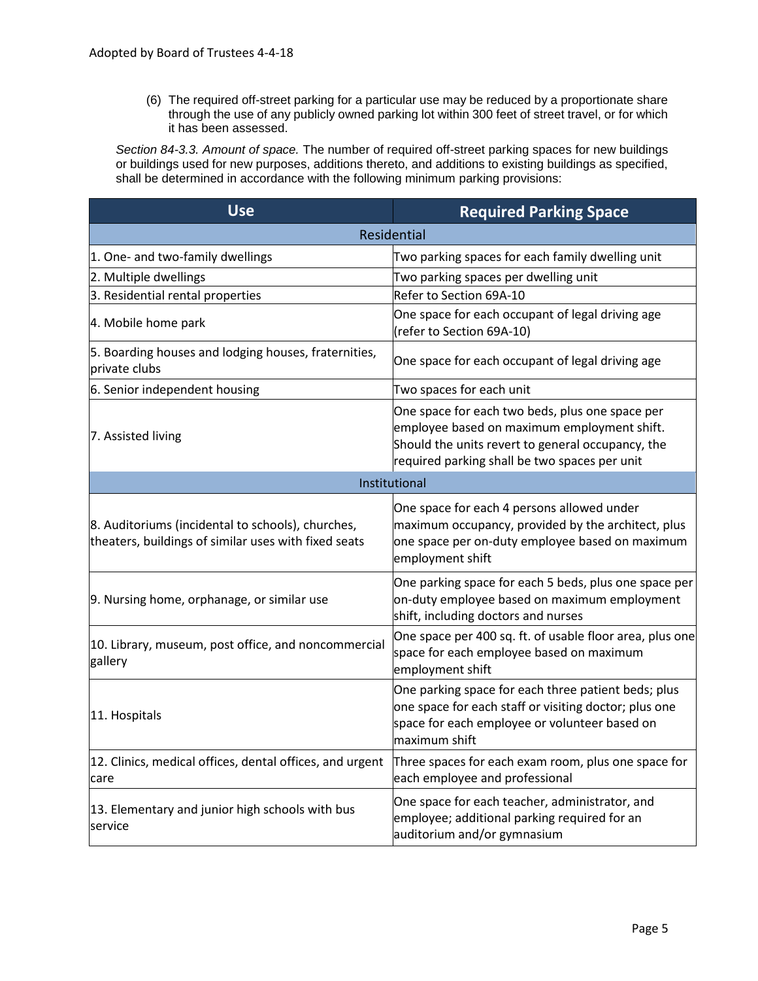(6) The required off-street parking for a particular use may be reduced by a proportionate share through the use of any publicly owned parking lot within 300 feet of street travel, or for which it has been assessed.

*Section 84-3.3. Amount of space.* The number of required off-street parking spaces for new buildings or buildings used for new purposes, additions thereto, and additions to existing buildings as specified, shall be determined in accordance with the following minimum parking provisions:

| <b>Use</b>                                                                                                | <b>Required Parking Space</b>                                                                                                                                                                        |  |
|-----------------------------------------------------------------------------------------------------------|------------------------------------------------------------------------------------------------------------------------------------------------------------------------------------------------------|--|
| Residential                                                                                               |                                                                                                                                                                                                      |  |
| 1. One- and two-family dwellings                                                                          | Two parking spaces for each family dwelling unit                                                                                                                                                     |  |
| 2. Multiple dwellings                                                                                     | Two parking spaces per dwelling unit                                                                                                                                                                 |  |
| 3. Residential rental properties                                                                          | Refer to Section 69A-10                                                                                                                                                                              |  |
| 4. Mobile home park                                                                                       | One space for each occupant of legal driving age<br>(refer to Section 69A-10)                                                                                                                        |  |
| 5. Boarding houses and lodging houses, fraternities,<br>lprivate clubs                                    | One space for each occupant of legal driving age                                                                                                                                                     |  |
| 6. Senior independent housing                                                                             | Two spaces for each unit                                                                                                                                                                             |  |
| 7. Assisted living                                                                                        | One space for each two beds, plus one space per<br>employee based on maximum employment shift.<br>Should the units revert to general occupancy, the<br>required parking shall be two spaces per unit |  |
|                                                                                                           | Institutional                                                                                                                                                                                        |  |
| 8. Auditoriums (incidental to schools), churches,<br>theaters, buildings of similar uses with fixed seats | One space for each 4 persons allowed under<br>maximum occupancy, provided by the architect, plus<br>one space per on-duty employee based on maximum<br>employment shift                              |  |
| 9. Nursing home, orphanage, or similar use                                                                | One parking space for each 5 beds, plus one space per<br>on-duty employee based on maximum employment<br>shift, including doctors and nurses                                                         |  |
| 10. Library, museum, post office, and noncommercial<br>gallery                                            | One space per 400 sq. ft. of usable floor area, plus one<br>space for each employee based on maximum<br>employment shift                                                                             |  |
| 11. Hospitals                                                                                             | One parking space for each three patient beds; plus<br>one space for each staff or visiting doctor; plus one<br>space for each employee or volunteer based on<br>maximum shift                       |  |
| 12. Clinics, medical offices, dental offices, and urgent<br>care                                          | Three spaces for each exam room, plus one space for<br>each employee and professional                                                                                                                |  |
| 13. Elementary and junior high schools with bus<br>service                                                | One space for each teacher, administrator, and<br>employee; additional parking required for an<br>auditorium and/or gymnasium                                                                        |  |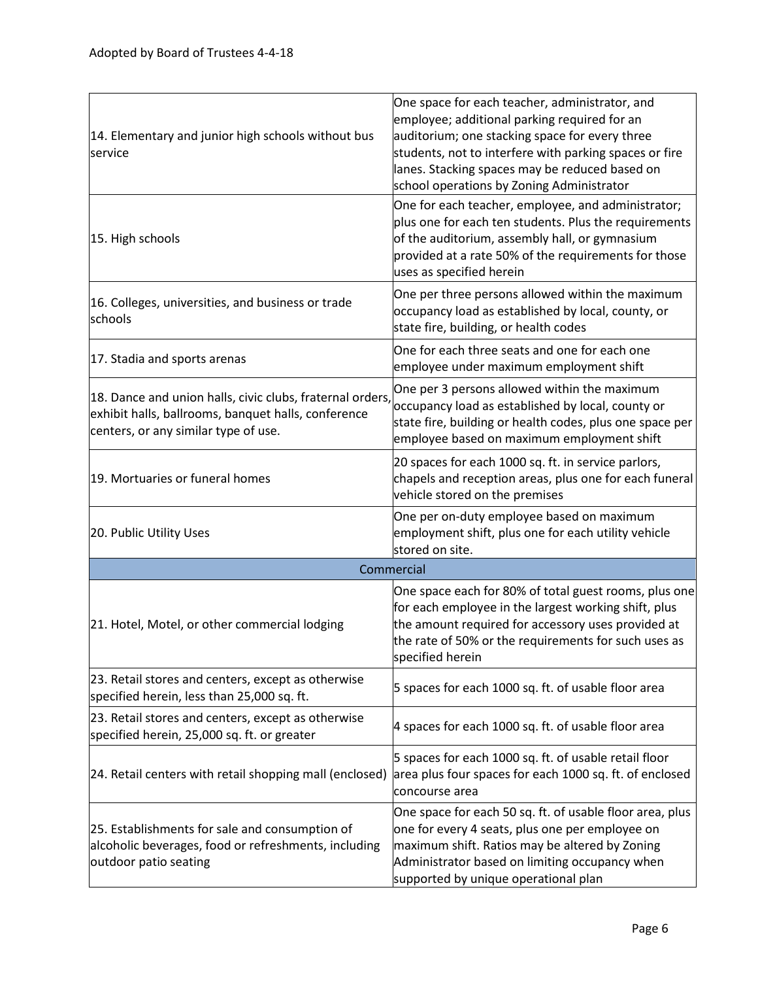| 14. Elementary and junior high schools without bus<br>service                                                                                            | One space for each teacher, administrator, and<br>employee; additional parking required for an<br>auditorium; one stacking space for every three<br>students, not to interfere with parking spaces or fire<br>lanes. Stacking spaces may be reduced based on<br>school operations by Zoning Administrator |
|----------------------------------------------------------------------------------------------------------------------------------------------------------|-----------------------------------------------------------------------------------------------------------------------------------------------------------------------------------------------------------------------------------------------------------------------------------------------------------|
| 15. High schools                                                                                                                                         | One for each teacher, employee, and administrator;<br>plus one for each ten students. Plus the requirements<br>of the auditorium, assembly hall, or gymnasium<br>provided at a rate 50% of the requirements for those<br>uses as specified herein                                                         |
| 16. Colleges, universities, and business or trade<br>schools                                                                                             | One per three persons allowed within the maximum<br>occupancy load as established by local, county, or<br>state fire, building, or health codes                                                                                                                                                           |
| 17. Stadia and sports arenas                                                                                                                             | One for each three seats and one for each one<br>employee under maximum employment shift                                                                                                                                                                                                                  |
| 18. Dance and union halls, civic clubs, fraternal orders,<br>exhibit halls, ballrooms, banquet halls, conference<br>centers, or any similar type of use. | One per 3 persons allowed within the maximum<br>occupancy load as established by local, county or<br>state fire, building or health codes, plus one space per<br>employee based on maximum employment shift                                                                                               |
| 19. Mortuaries or funeral homes                                                                                                                          | 20 spaces for each 1000 sq. ft. in service parlors,<br>chapels and reception areas, plus one for each funeral<br>vehicle stored on the premises                                                                                                                                                           |
| 20. Public Utility Uses                                                                                                                                  | One per on-duty employee based on maximum<br>employment shift, plus one for each utility vehicle<br>stored on site.                                                                                                                                                                                       |
|                                                                                                                                                          | Commercial                                                                                                                                                                                                                                                                                                |
| 21. Hotel, Motel, or other commercial lodging                                                                                                            | One space each for 80% of total guest rooms, plus one<br>for each employee in the largest working shift, plus<br>the amount required for accessory uses provided at<br>the rate of 50% or the requirements for such uses as<br>specified herein                                                           |
| 23. Retail stores and centers, except as otherwise<br>specified herein, less than 25,000 sq. ft.                                                         | 5 spaces for each 1000 sq. ft. of usable floor area                                                                                                                                                                                                                                                       |
| 23. Retail stores and centers, except as otherwise<br>specified herein, 25,000 sq. ft. or greater                                                        | 4 spaces for each 1000 sq. ft. of usable floor area                                                                                                                                                                                                                                                       |
| 24. Retail centers with retail shopping mall (enclosed)                                                                                                  | 5 spaces for each 1000 sq. ft. of usable retail floor<br>area plus four spaces for each 1000 sq. ft. of enclosed<br>concourse area                                                                                                                                                                        |
| 25. Establishments for sale and consumption of<br>alcoholic beverages, food or refreshments, including<br>outdoor patio seating                          | One space for each 50 sq. ft. of usable floor area, plus<br>one for every 4 seats, plus one per employee on<br>maximum shift. Ratios may be altered by Zoning<br>Administrator based on limiting occupancy when<br>supported by unique operational plan                                                   |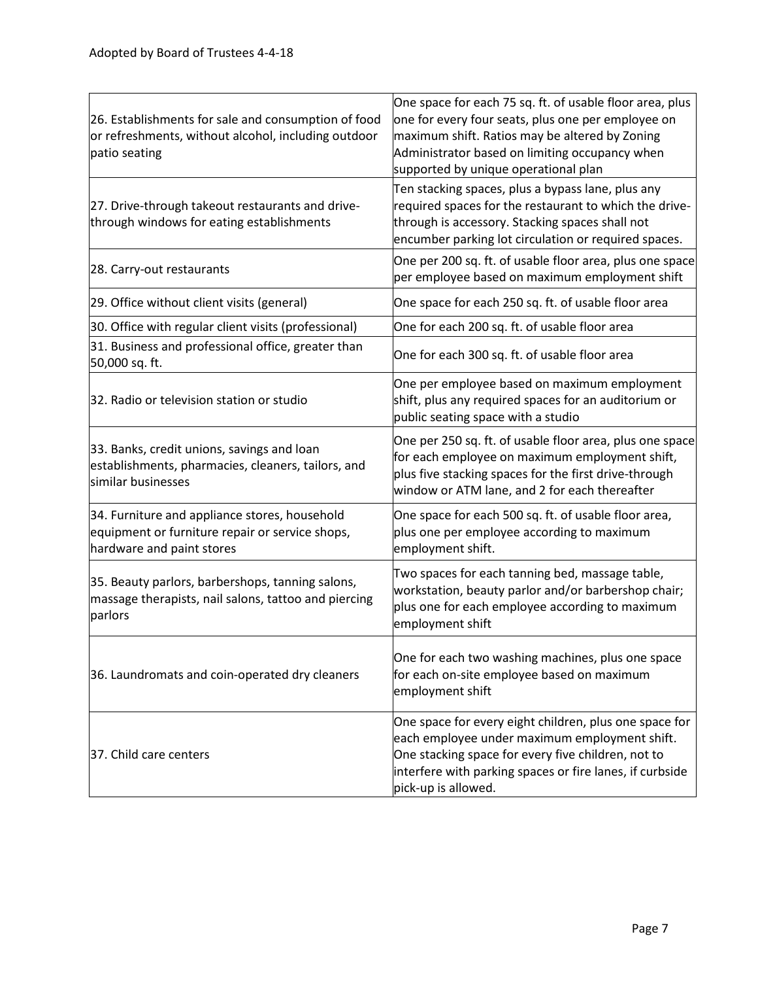| 26. Establishments for sale and consumption of food<br>or refreshments, without alcohol, including outdoor<br>patio seating   | One space for each 75 sq. ft. of usable floor area, plus<br>one for every four seats, plus one per employee on<br>maximum shift. Ratios may be altered by Zoning<br>Administrator based on limiting occupancy when<br>supported by unique operational plan |
|-------------------------------------------------------------------------------------------------------------------------------|------------------------------------------------------------------------------------------------------------------------------------------------------------------------------------------------------------------------------------------------------------|
| 27. Drive-through takeout restaurants and drive-<br>through windows for eating establishments                                 | Ten stacking spaces, plus a bypass lane, plus any<br>required spaces for the restaurant to which the drive-<br>through is accessory. Stacking spaces shall not<br>encumber parking lot circulation or required spaces.                                     |
| 28. Carry-out restaurants                                                                                                     | One per 200 sq. ft. of usable floor area, plus one space<br>per employee based on maximum employment shift                                                                                                                                                 |
| 29. Office without client visits (general)                                                                                    | One space for each 250 sq. ft. of usable floor area                                                                                                                                                                                                        |
| 30. Office with regular client visits (professional)                                                                          | One for each 200 sq. ft. of usable floor area                                                                                                                                                                                                              |
| 31. Business and professional office, greater than<br>50,000 sq. ft.                                                          | One for each 300 sq. ft. of usable floor area                                                                                                                                                                                                              |
| 32. Radio or television station or studio                                                                                     | One per employee based on maximum employment<br>shift, plus any required spaces for an auditorium or<br>public seating space with a studio                                                                                                                 |
| 33. Banks, credit unions, savings and loan<br>establishments, pharmacies, cleaners, tailors, and<br>similar businesses        | One per 250 sq. ft. of usable floor area, plus one space<br>for each employee on maximum employment shift,<br>plus five stacking spaces for the first drive-through<br>window or ATM lane, and 2 for each thereafter                                       |
| 34. Furniture and appliance stores, household<br>equipment or furniture repair or service shops,<br>hardware and paint stores | One space for each 500 sq. ft. of usable floor area,<br>plus one per employee according to maximum<br>employment shift.                                                                                                                                    |
| 35. Beauty parlors, barbershops, tanning salons,<br>massage therapists, nail salons, tattoo and piercing<br>parlors           | Two spaces for each tanning bed, massage table,<br>workstation, beauty parlor and/or barbershop chair;<br>plus one for each employee according to maximum<br>employment shift                                                                              |
| 36. Laundromats and coin-operated dry cleaners                                                                                | One for each two washing machines, plus one space<br>for each on-site employee based on maximum<br>employment shift                                                                                                                                        |
| 37. Child care centers                                                                                                        | One space for every eight children, plus one space for<br>each employee under maximum employment shift.<br>One stacking space for every five children, not to<br>interfere with parking spaces or fire lanes, if curbside<br>pick-up is allowed.           |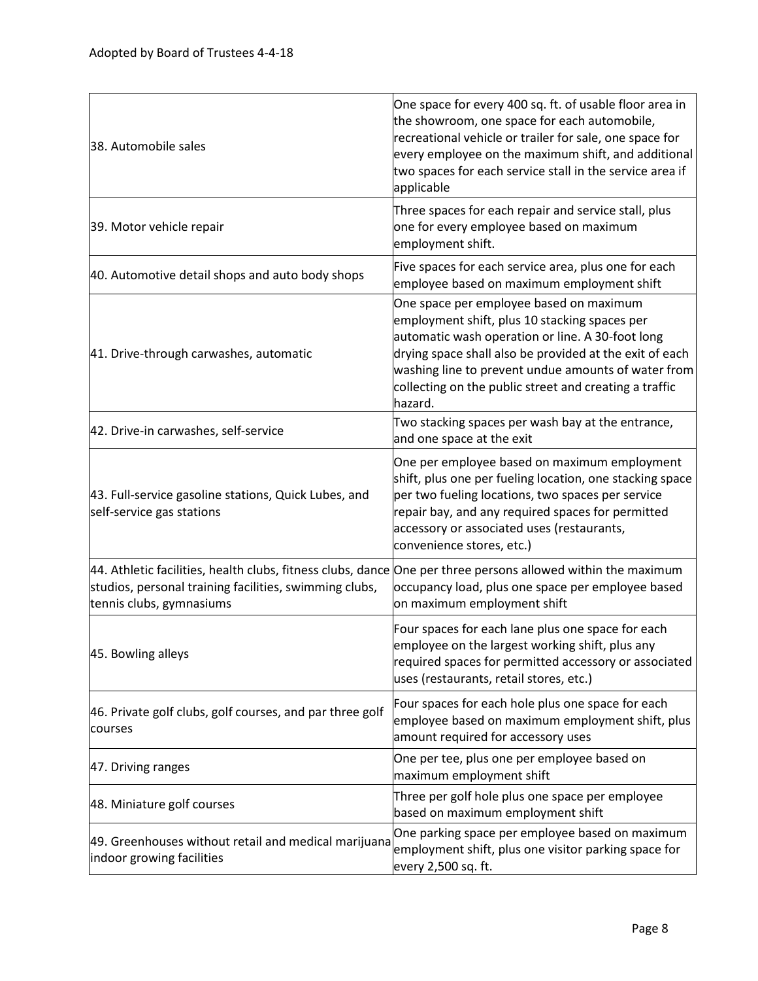| 38. Automobile sales                                                                                                                                                                               | One space for every 400 sq. ft. of usable floor area in<br>the showroom, one space for each automobile,<br>recreational vehicle or trailer for sale, one space for<br>every employee on the maximum shift, and additional<br>two spaces for each service stall in the service area if<br>applicable                                 |
|----------------------------------------------------------------------------------------------------------------------------------------------------------------------------------------------------|-------------------------------------------------------------------------------------------------------------------------------------------------------------------------------------------------------------------------------------------------------------------------------------------------------------------------------------|
| 39. Motor vehicle repair                                                                                                                                                                           | Three spaces for each repair and service stall, plus<br>one for every employee based on maximum<br>employment shift.                                                                                                                                                                                                                |
| 40. Automotive detail shops and auto body shops                                                                                                                                                    | Five spaces for each service area, plus one for each<br>employee based on maximum employment shift                                                                                                                                                                                                                                  |
| 41. Drive-through carwashes, automatic                                                                                                                                                             | One space per employee based on maximum<br>employment shift, plus 10 stacking spaces per<br>automatic wash operation or line. A 30-foot long<br>drying space shall also be provided at the exit of each<br>washing line to prevent undue amounts of water from<br>collecting on the public street and creating a traffic<br>hazard. |
| 42. Drive-in carwashes, self-service                                                                                                                                                               | Two stacking spaces per wash bay at the entrance,<br>and one space at the exit                                                                                                                                                                                                                                                      |
| 43. Full-service gasoline stations, Quick Lubes, and<br>self-service gas stations                                                                                                                  | One per employee based on maximum employment<br>shift, plus one per fueling location, one stacking space<br>per two fueling locations, two spaces per service<br>repair bay, and any required spaces for permitted<br>accessory or associated uses (restaurants,<br>convenience stores, etc.)                                       |
| 44. Athletic facilities, health clubs, fitness clubs, dance One per three persons allowed within the maximum<br>studios, personal training facilities, swimming clubs,<br>tennis clubs, gymnasiums | occupancy load, plus one space per employee based<br>on maximum employment shift                                                                                                                                                                                                                                                    |
| 45. Bowling alleys                                                                                                                                                                                 | Four spaces for each lane plus one space for each<br>employee on the largest working shift, plus any<br>required spaces for permitted accessory or associated<br>uses (restaurants, retail stores, etc.)                                                                                                                            |
| 46. Private golf clubs, golf courses, and par three golf<br>courses                                                                                                                                | Four spaces for each hole plus one space for each<br>employee based on maximum employment shift, plus<br>amount required for accessory uses                                                                                                                                                                                         |
| 47. Driving ranges                                                                                                                                                                                 | One per tee, plus one per employee based on<br>maximum employment shift                                                                                                                                                                                                                                                             |
| 48. Miniature golf courses                                                                                                                                                                         | Three per golf hole plus one space per employee<br>based on maximum employment shift                                                                                                                                                                                                                                                |
| 49. Greenhouses without retail and medical marijuana<br>indoor growing facilities                                                                                                                  | One parking space per employee based on maximum<br>employment shift, plus one visitor parking space for<br>every 2,500 sq. ft.                                                                                                                                                                                                      |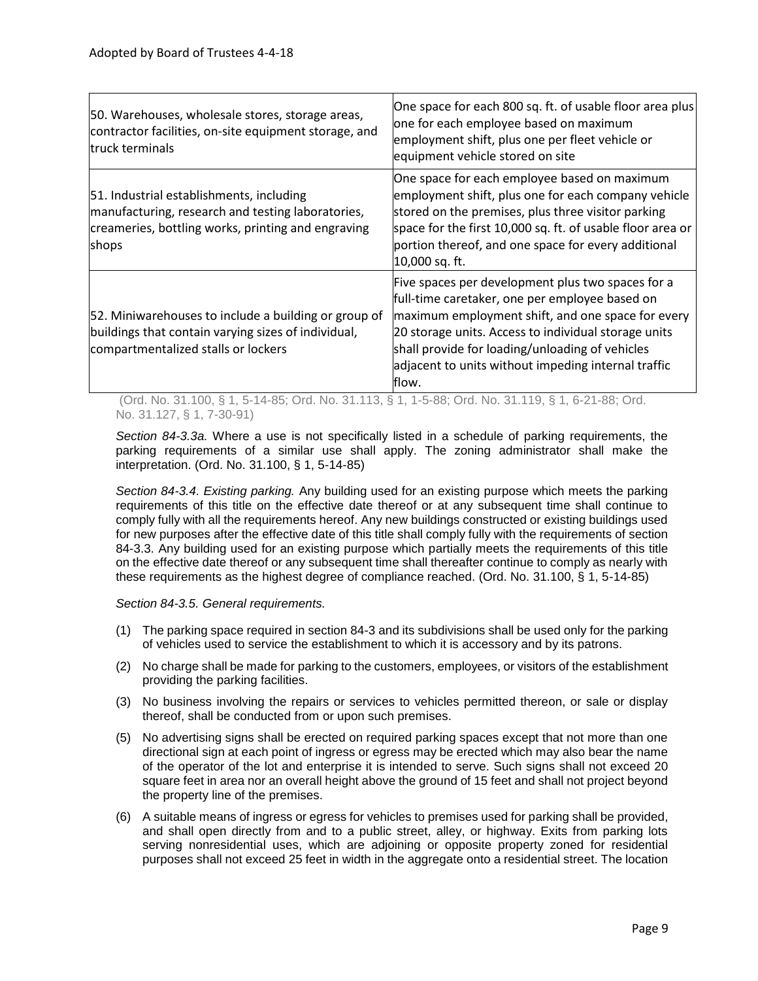| 50. Warehouses, wholesale stores, storage areas,<br>contractor facilities, on-site equipment storage, and<br>truck terminals                                 | One space for each 800 sq. ft. of usable floor area plus<br>one for each employee based on maximum<br>employment shift, plus one per fleet vehicle or<br>equipment vehicle stored on site                                                                                                                                           |
|--------------------------------------------------------------------------------------------------------------------------------------------------------------|-------------------------------------------------------------------------------------------------------------------------------------------------------------------------------------------------------------------------------------------------------------------------------------------------------------------------------------|
| 51. Industrial establishments, including<br>manufacturing, research and testing laboratories,<br>creameries, bottling works, printing and engraving<br>shops | One space for each employee based on maximum<br>employment shift, plus one for each company vehicle<br>stored on the premises, plus three visitor parking<br>space for the first 10,000 sq. ft. of usable floor area or<br>portion thereof, and one space for every additional<br>10,000 sq. ft.                                    |
| 52. Miniwarehouses to include a building or group of<br>buildings that contain varying sizes of individual,<br>compartmentalized stalls or lockers           | Five spaces per development plus two spaces for a<br>full-time caretaker, one per employee based on<br>maximum employment shift, and one space for every<br>20 storage units. Access to individual storage units<br>shall provide for loading/unloading of vehicles<br>adjacent to units without impeding internal traffic<br>flow. |

(Ord. No. 31.100, § 1, 5-14-85; Ord. No. 31.113, § 1, 1-5-88; Ord. No. 31.119, § 1, 6-21-88; Ord. No. 31.127, § 1, 7-30-91)

*Section 84-3.3a.* Where a use is not specifically listed in a schedule of parking requirements, the parking requirements of a similar use shall apply. The zoning administrator shall make the interpretation. (Ord. No. 31.100, § 1, 5-14-85)

*Section 84-3.4. Existing parking.* Any building used for an existing purpose which meets the parking requirements of this title on the effective date thereof or at any subsequent time shall continue to comply fully with all the requirements hereof. Any new buildings constructed or existing buildings used for new purposes after the effective date of this title shall comply fully with the requirements of section 84-3.3. Any building used for an existing purpose which partially meets the requirements of this title on the effective date thereof or any subsequent time shall thereafter continue to comply as nearly with these requirements as the highest degree of compliance reached. (Ord. No. 31.100, § 1, 5-14-85)

*Section 84-3.5. General requirements.*

- (1) The parking space required in section 84-3 and its subdivisions shall be used only for the parking of vehicles used to service the establishment to which it is accessory and by its patrons.
- (2) No charge shall be made for parking to the customers, employees, or visitors of the establishment providing the parking facilities.
- (3) No business involving the repairs or services to vehicles permitted thereon, or sale or display thereof, shall be conducted from or upon such premises.
- (5) No advertising signs shall be erected on required parking spaces except that not more than one directional sign at each point of ingress or egress may be erected which may also bear the name of the operator of the lot and enterprise it is intended to serve. Such signs shall not exceed 20 square feet in area nor an overall height above the ground of 15 feet and shall not project beyond the property line of the premises.
- (6) A suitable means of ingress or egress for vehicles to premises used for parking shall be provided, and shall open directly from and to a public street, alley, or highway. Exits from parking lots serving nonresidential uses, which are adjoining or opposite property zoned for residential purposes shall not exceed 25 feet in width in the aggregate onto a residential street. The location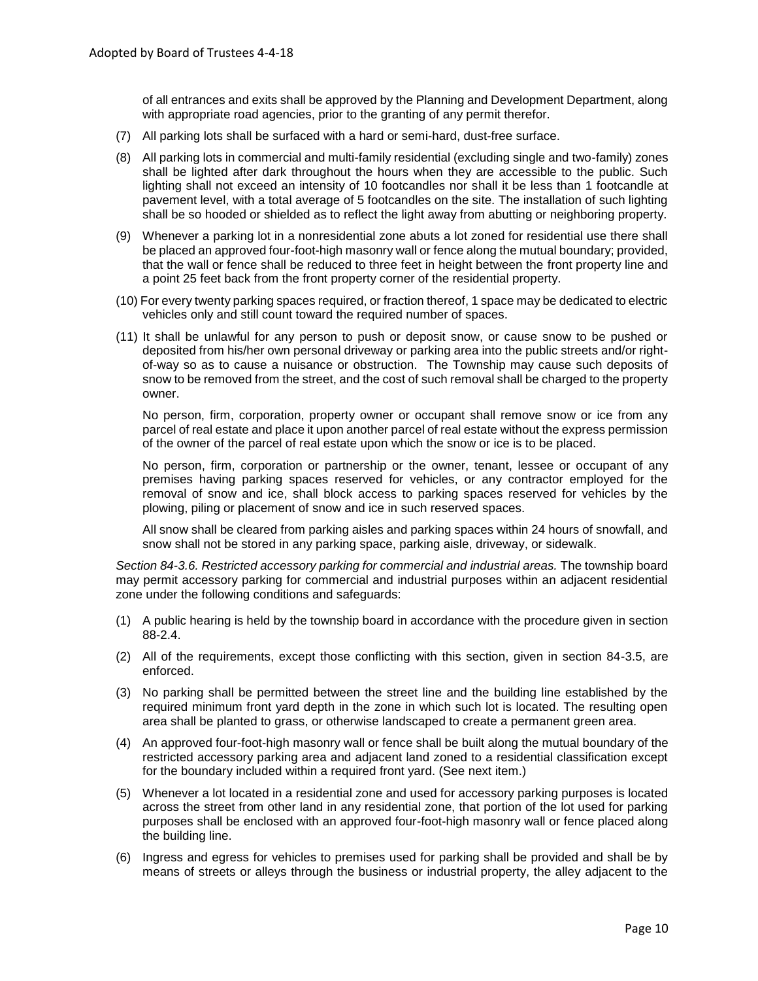of all entrances and exits shall be approved by the Planning and Development Department, along with appropriate road agencies, prior to the granting of any permit therefor.

- (7) All parking lots shall be surfaced with a hard or semi-hard, dust-free surface.
- (8) All parking lots in commercial and multi-family residential (excluding single and two-family) zones shall be lighted after dark throughout the hours when they are accessible to the public. Such lighting shall not exceed an intensity of 10 footcandles nor shall it be less than 1 footcandle at pavement level, with a total average of 5 footcandles on the site. The installation of such lighting shall be so hooded or shielded as to reflect the light away from abutting or neighboring property.
- (9) Whenever a parking lot in a nonresidential zone abuts a lot zoned for residential use there shall be placed an approved four-foot-high masonry wall or fence along the mutual boundary; provided, that the wall or fence shall be reduced to three feet in height between the front property line and a point 25 feet back from the front property corner of the residential property.
- (10) For every twenty parking spaces required, or fraction thereof, 1 space may be dedicated to electric vehicles only and still count toward the required number of spaces.
- (11) It shall be unlawful for any person to push or deposit snow, or cause snow to be pushed or deposited from his/her own personal driveway or parking area into the public streets and/or rightof-way so as to cause a nuisance or obstruction. The Township may cause such deposits of snow to be removed from the street, and the cost of such removal shall be charged to the property owner.

No person, firm, corporation, property owner or occupant shall remove snow or ice from any parcel of real estate and place it upon another parcel of real estate without the express permission of the owner of the parcel of real estate upon which the snow or ice is to be placed.

No person, firm, corporation or partnership or the owner, tenant, lessee or occupant of any premises having parking spaces reserved for vehicles, or any contractor employed for the removal of snow and ice, shall block access to parking spaces reserved for vehicles by the plowing, piling or placement of snow and ice in such reserved spaces.

All snow shall be cleared from parking aisles and parking spaces within 24 hours of snowfall, and snow shall not be stored in any parking space, parking aisle, driveway, or sidewalk.

*Section 84-3.6. Restricted accessory parking for commercial and industrial areas.* The township board may permit accessory parking for commercial and industrial purposes within an adjacent residential zone under the following conditions and safeguards:

- (1) A public hearing is held by the township board in accordance with the procedure given in section 88-2.4.
- (2) All of the requirements, except those conflicting with this section, given in section 84-3.5, are enforced.
- (3) No parking shall be permitted between the street line and the building line established by the required minimum front yard depth in the zone in which such lot is located. The resulting open area shall be planted to grass, or otherwise landscaped to create a permanent green area.
- (4) An approved four-foot-high masonry wall or fence shall be built along the mutual boundary of the restricted accessory parking area and adjacent land zoned to a residential classification except for the boundary included within a required front yard. (See next item.)
- (5) Whenever a lot located in a residential zone and used for accessory parking purposes is located across the street from other land in any residential zone, that portion of the lot used for parking purposes shall be enclosed with an approved four-foot-high masonry wall or fence placed along the building line.
- (6) Ingress and egress for vehicles to premises used for parking shall be provided and shall be by means of streets or alleys through the business or industrial property, the alley adjacent to the